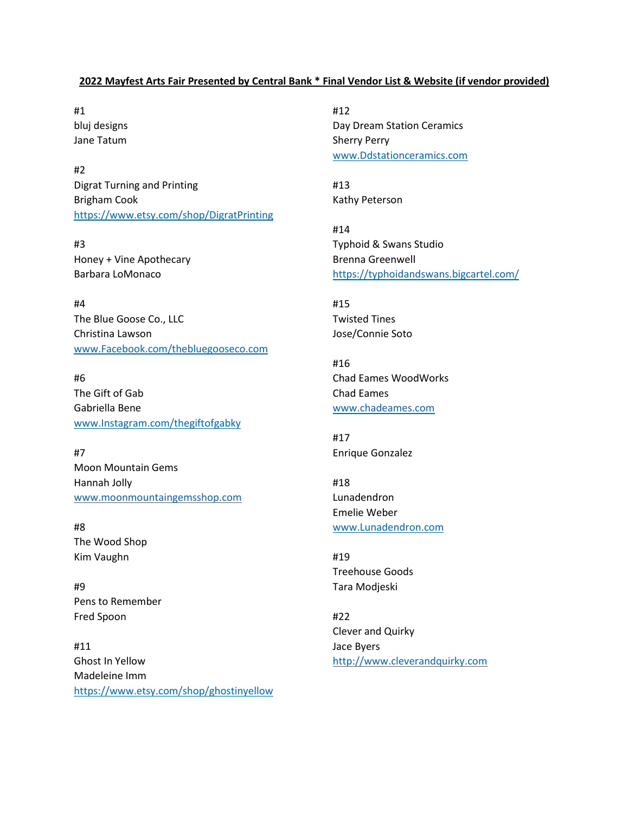## **2022 Mayfest Arts Fair Presented by Central Bank \* Final Vendor List & Website (if vendor provided)**

#1 bluj designs Jane Tatum

#2 Digrat Turning and Printing Brigham Cook <https://www.etsy.com/shop/DigratPrinting>

#3 Honey + Vine Apothecary Barbara LoMonaco

#4 The Blue Goose Co., LLC Christina Lawson [www.Facebook.com/thebluegooseco.com](http://www.facebook.com/thebluegooseco.com) 

#6 The Gift of Gab Gabriella Bene [www.Instagram.com/thegiftofgabky](http://www.instagram.com/thegiftofgabky) 

#7 Moon Mountain Gems Hannah Jolly [www.moonmountaingemsshop.com](http://www.moonmountaingemsshop.com/) 

#8 The Wood Shop Kim Vaughn

#9 Pens to Remember Fred Spoon

#11 Ghost In Yellow Madeleine Imm <https://www.etsy.com/shop/ghostinyellow> #12 Day Dream Station Ceramics Sherry Perry [www.Ddstationceramics.com](http://www.ddstationceramics.com/) 

#13 Kathy Peterson

#14 Typhoid & Swans Studio Brenna Greenwell <https://typhoidandswans.bigcartel.com/>

#15 Twisted Tines Jose/Connie Soto

#16 Chad Eames WoodWorks Chad Eames [www.chadeames.com](http://www.chadeames.com/) 

#17 Enrique Gonzalez

#18 Lunadendron Emelie Weber [www.Lunadendron.com](http://www.lunadendron.com/) 

#19 Treehouse Goods Tara Modjeski

#22 Clever and Quirky Jace Byers [http://www.cleverandquirky.com](http://www.cleverandquirky.com/)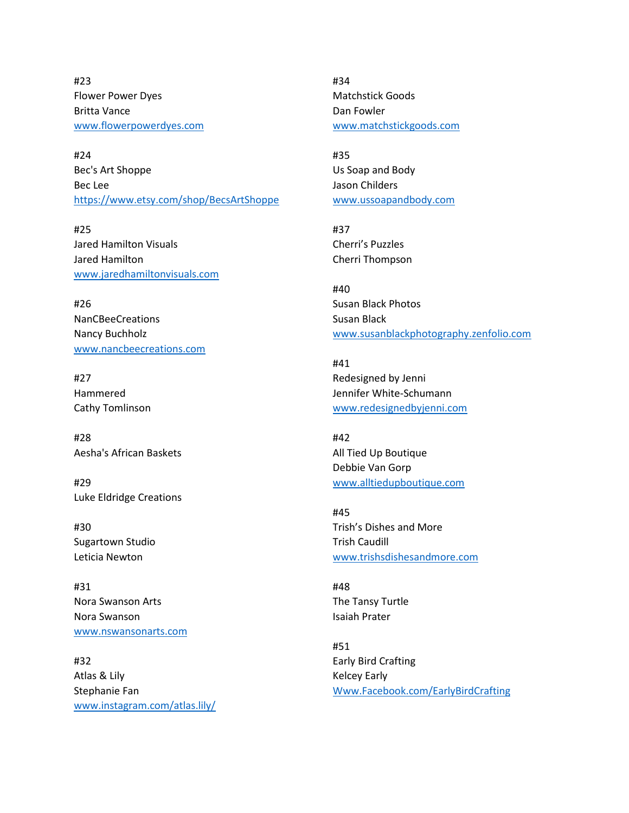#23 Flower Power Dyes Britta Vance [www.flowerpowerdyes.com](http://www.flowerpowerdyes.com/) 

#24 Bec's Art Shoppe Bec Lee <https://www.etsy.com/shop/BecsArtShoppe>

#25 Jared Hamilton Visuals Jared Hamilton [www.jaredhamiltonvisuals.com](http://www.jaredhamiltonvisuals.com/) 

#26 NanCBeeCreations Nancy Buchholz [www.nancbeecreations.com](http://www.nancbeecreations.com/) 

#27 Hammered Cathy Tomlinson

#28 Aesha's African Baskets

#29 Luke Eldridge Creations

#30 Sugartown Studio Leticia Newton

#31 Nora Swanson Arts Nora Swanson [www.nswansonarts.com](http://www.nswansonarts.com/) 

#32 Atlas & Lily Stephanie Fan [www.instagram.com/atlas.lily/](http://www.instagram.com/atlas.lily/) 

#34 Matchstick Goods Dan Fowler [www.matchstickgoods.com](http://www.matchstickgoods.com/) 

#35 Us Soap and Body Jason Childers [www.ussoapandbody.com](http://www.ussoapandbody.com/) 

#37 Cherri's Puzzles Cherri Thompson

#40 Susan Black Photos Susan Black [www.susanblackphotography.zenfolio.com](http://www.susanblackphotography.zenfolio.com/) 

#41 Redesigned by Jenni Jennifer White-Schumann [www.redesignedbyjenni.com](http://www.redesignedbyjenni.com/) 

#42 All Tied Up Boutique Debbie Van Gorp [www.alltiedupboutique.com](http://www.alltiedupboutique.com/) 

#45 Trish's Dishes and More Trish Caudill [www.trishsdishesandmore.com](http://www.trishsdishesandmore.com/) 

#48 The Tansy Turtle Isaiah Prater

#51 Early Bird Crafting Kelcey Early [Www.Facebook.com/EarlyBirdCrafting](http://www.facebook.com/EarlyBirdCrafting)